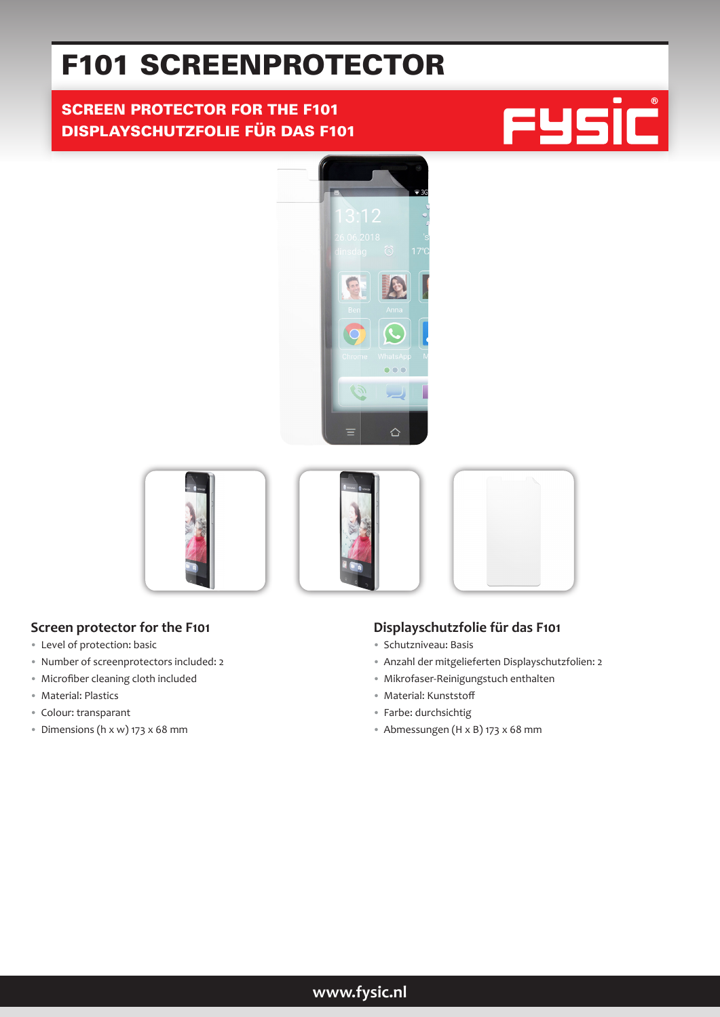# F101 SCREENPROTECTOR

# SCREEN PROTECTOR FOR THE F101 DISPLAYSCHUTZFOLIE FÜR DAS F101







## **Screen protector for the F101**

- Level of protection: basic
- Number of screenprotectors included: 2
- Microfiber cleaning cloth included
- Material: Plastics
- Colour: transparant
- Dimensions (h x w) 173 x 68 mm

## **Displayschutzfolie für das F101**

- Schutzniveau: Basis
- Anzahl der mitgelieferten Displayschutzfolien: 2
- Mikrofaser-Reinigungstuch enthalten
- Material: Kunststoff
- Farbe: durchsichtig
- Abmessungen (H x B) 173 x 68 mm